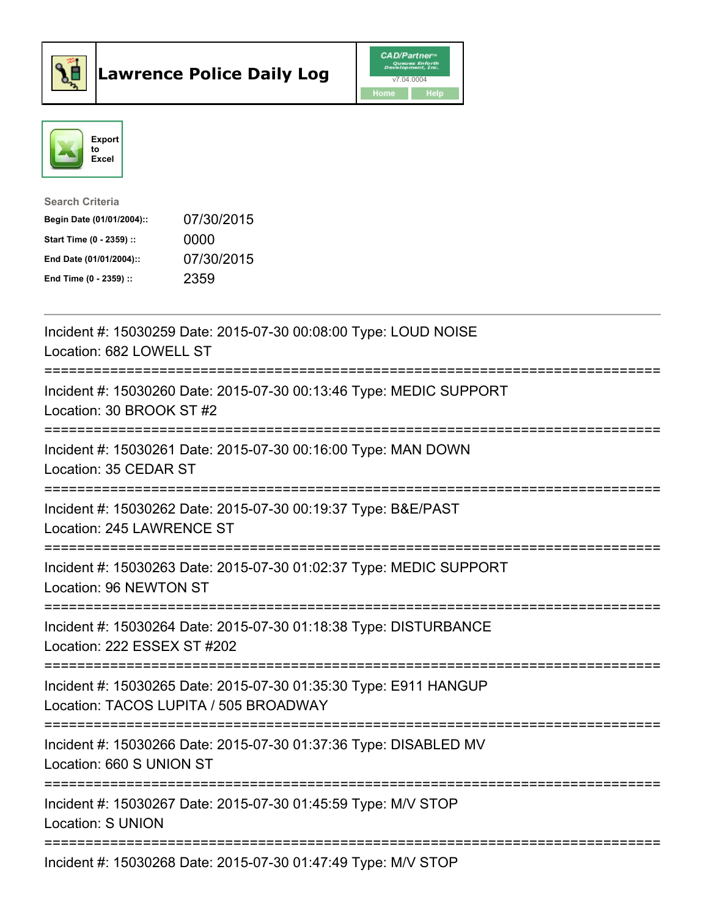



| <b>Search Criteria</b>    |            |
|---------------------------|------------|
| Begin Date (01/01/2004):: | 07/30/2015 |
| Start Time (0 - 2359) ::  | 0000       |
| End Date (01/01/2004)::   | 07/30/2015 |
| End Time $(0 - 2359)$ :   | 2359       |

| Incident #: 15030259 Date: 2015-07-30 00:08:00 Type: LOUD NOISE<br>Location: 682 LOWELL ST                |
|-----------------------------------------------------------------------------------------------------------|
| Incident #: 15030260 Date: 2015-07-30 00:13:46 Type: MEDIC SUPPORT<br>Location: 30 BROOK ST #2            |
| Incident #: 15030261 Date: 2015-07-30 00:16:00 Type: MAN DOWN<br>Location: 35 CEDAR ST<br>--------------- |
| Incident #: 15030262 Date: 2015-07-30 00:19:37 Type: B&E/PAST<br>Location: 245 LAWRENCE ST                |
| Incident #: 15030263 Date: 2015-07-30 01:02:37 Type: MEDIC SUPPORT<br>Location: 96 NEWTON ST              |
| Incident #: 15030264 Date: 2015-07-30 01:18:38 Type: DISTURBANCE<br>Location: 222 ESSEX ST #202           |
| Incident #: 15030265 Date: 2015-07-30 01:35:30 Type: E911 HANGUP<br>Location: TACOS LUPITA / 505 BROADWAY |
| Incident #: 15030266 Date: 2015-07-30 01:37:36 Type: DISABLED MV<br>Location: 660 S UNION ST              |
| Incident #: 15030267 Date: 2015-07-30 01:45:59 Type: M/V STOP<br><b>Location: S UNION</b>                 |
| Incident #: 15030268 Date: 2015-07-30 01:47:49 Type: M/V STOP                                             |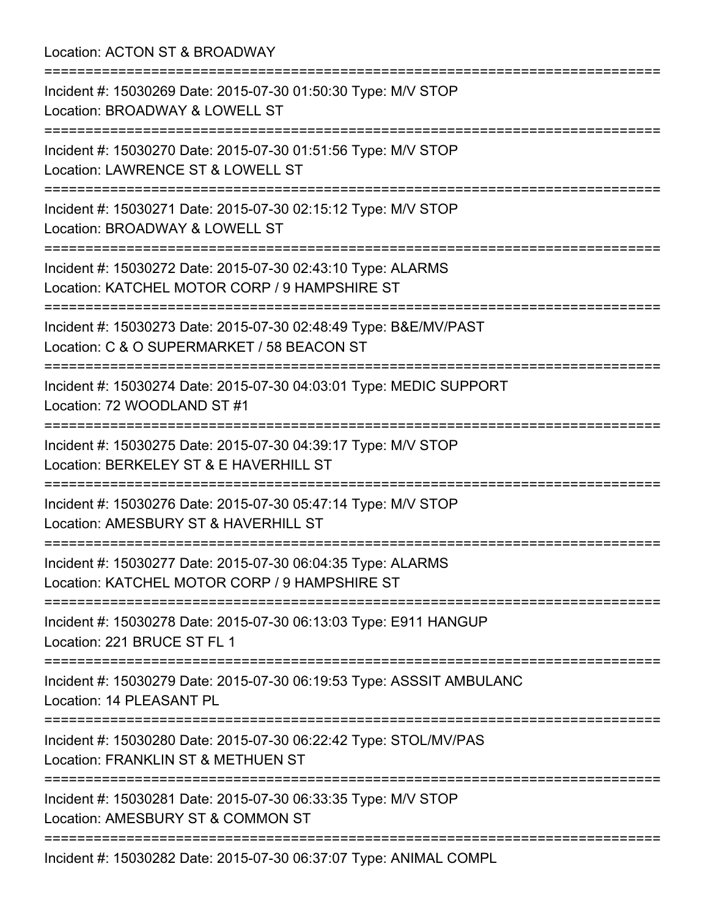Location: ACTON ST & BROADWAY =========================================================================== Incident #: 15030269 Date: 2015-07-30 01:50:30 Type: M/V STOP Location: BROADWAY & LOWELL ST =========================================================================== Incident #: 15030270 Date: 2015-07-30 01:51:56 Type: M/V STOP Location: LAWRENCE ST & LOWELL ST =========================================================================== Incident #: 15030271 Date: 2015-07-30 02:15:12 Type: M/V STOP Location: BROADWAY & LOWELL ST =========================================================================== Incident #: 15030272 Date: 2015-07-30 02:43:10 Type: ALARMS Location: KATCHEL MOTOR CORP / 9 HAMPSHIRE ST =========================================================================== Incident #: 15030273 Date: 2015-07-30 02:48:49 Type: B&E/MV/PAST Location: C & O SUPERMARKET / 58 BEACON ST =========================================================================== Incident #: 15030274 Date: 2015-07-30 04:03:01 Type: MEDIC SUPPORT Location: 72 WOODLAND ST #1 =========================================================================== Incident #: 15030275 Date: 2015-07-30 04:39:17 Type: M/V STOP Location: BERKELEY ST & E HAVERHILL ST =========================================================================== Incident #: 15030276 Date: 2015-07-30 05:47:14 Type: M/V STOP Location: AMESBURY ST & HAVERHILL ST =========================================================================== Incident #: 15030277 Date: 2015-07-30 06:04:35 Type: ALARMS Location: KATCHEL MOTOR CORP / 9 HAMPSHIRE ST =========================================================================== Incident #: 15030278 Date: 2015-07-30 06:13:03 Type: E911 HANGUP Location: 221 BRUCE ST FL 1 =========================================================================== Incident #: 15030279 Date: 2015-07-30 06:19:53 Type: ASSSIT AMBULANC Location: 14 PLEASANT PL =========================================================================== Incident #: 15030280 Date: 2015-07-30 06:22:42 Type: STOL/MV/PAS Location: FRANKLIN ST & METHUEN ST =========================================================================== Incident #: 15030281 Date: 2015-07-30 06:33:35 Type: M/V STOP Location: AMESBURY ST & COMMON ST =========================================================================== Incident #: 15030282 Date: 2015-07-30 06:37:07 Type: ANIMAL COMPL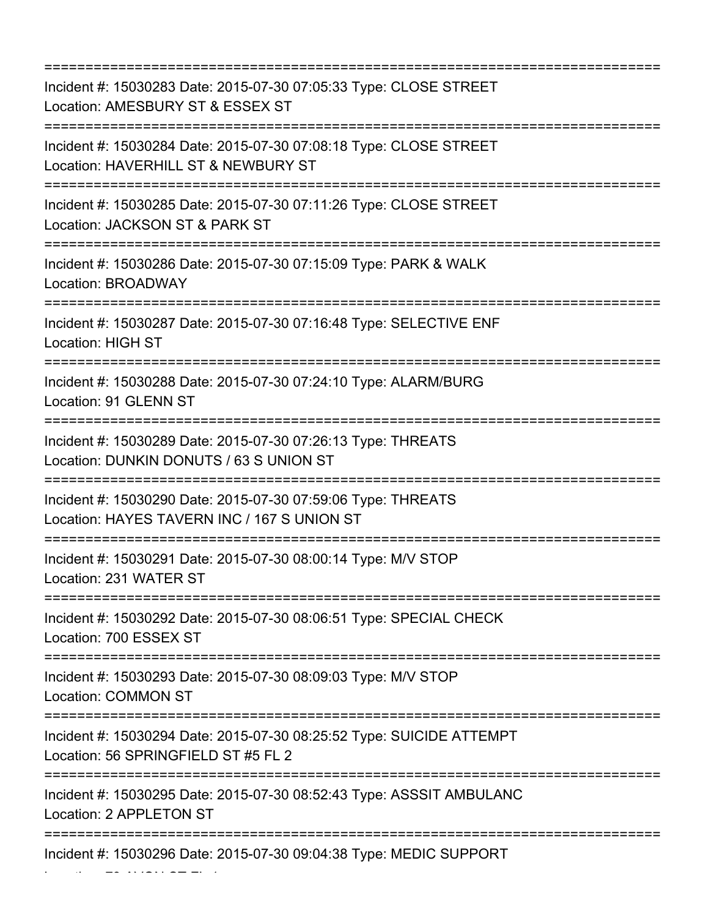=========================================================================== Incident #: 15030283 Date: 2015-07-30 07:05:33 Type: CLOSE STREET Location: AMESBURY ST & ESSEX ST =========================================================================== Incident #: 15030284 Date: 2015-07-30 07:08:18 Type: CLOSE STREET Location: HAVERHILL ST & NEWBURY ST =========================================================================== Incident #: 15030285 Date: 2015-07-30 07:11:26 Type: CLOSE STREET Location: JACKSON ST & PARK ST =========================================================================== Incident #: 15030286 Date: 2015-07-30 07:15:09 Type: PARK & WALK Location: BROADWAY =========================================================================== Incident #: 15030287 Date: 2015-07-30 07:16:48 Type: SELECTIVE ENF Location: HIGH ST =========================================================================== Incident #: 15030288 Date: 2015-07-30 07:24:10 Type: ALARM/BURG Location: 91 GLENN ST =========================================================================== Incident #: 15030289 Date: 2015-07-30 07:26:13 Type: THREATS Location: DUNKIN DONUTS / 63 S UNION ST =========================================================================== Incident #: 15030290 Date: 2015-07-30 07:59:06 Type: THREATS Location: HAYES TAVERN INC / 167 S UNION ST =========================================================================== Incident #: 15030291 Date: 2015-07-30 08:00:14 Type: M/V STOP Location: 231 WATER ST =========================================================================== Incident #: 15030292 Date: 2015-07-30 08:06:51 Type: SPECIAL CHECK Location: 700 ESSEX ST =========================================================================== Incident #: 15030293 Date: 2015-07-30 08:09:03 Type: M/V STOP Location: COMMON ST =========================================================================== Incident #: 15030294 Date: 2015-07-30 08:25:52 Type: SUICIDE ATTEMPT Location: 56 SPRINGFIELD ST #5 FL 2 =========================================================================== Incident #: 15030295 Date: 2015-07-30 08:52:43 Type: ASSSIT AMBULANC Location: 2 APPLETON ST =========================================================================== Incident #: 15030296 Date: 2015-07-30 09:04:38 Type: MEDIC SUPPORT

Location: 79 AVON ST FL 1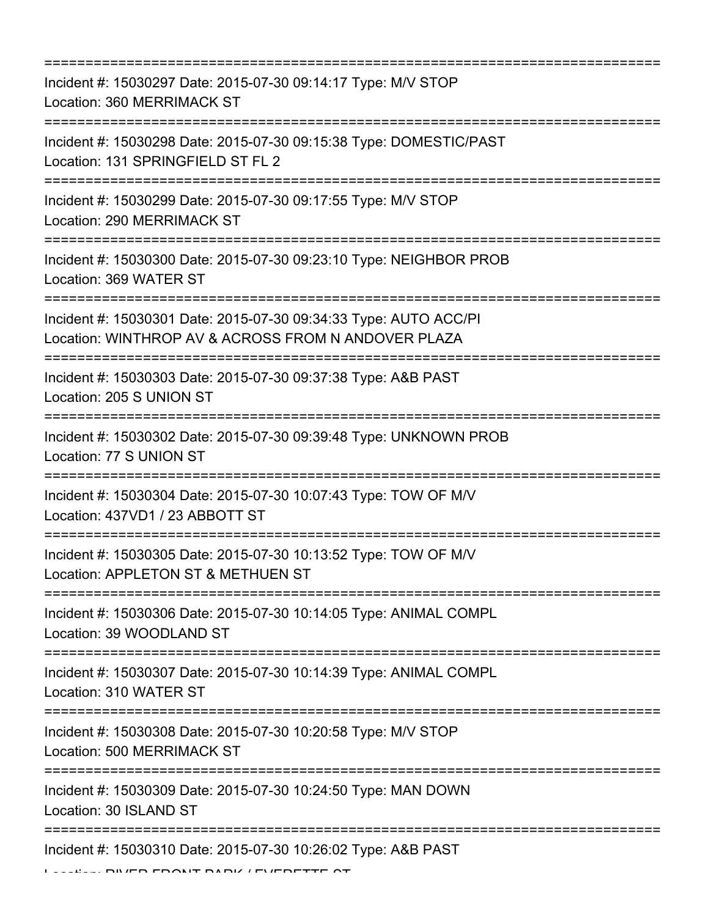| Incident #: 15030297 Date: 2015-07-30 09:14:17 Type: M/V STOP<br>Location: 360 MERRIMACK ST<br>:==================                      |
|-----------------------------------------------------------------------------------------------------------------------------------------|
| Incident #: 15030298 Date: 2015-07-30 09:15:38 Type: DOMESTIC/PAST<br>Location: 131 SPRINGFIELD ST FL 2<br>============================ |
| Incident #: 15030299 Date: 2015-07-30 09:17:55 Type: M/V STOP<br>Location: 290 MERRIMACK ST                                             |
| Incident #: 15030300 Date: 2015-07-30 09:23:10 Type: NEIGHBOR PROB<br>Location: 369 WATER ST                                            |
| Incident #: 15030301 Date: 2015-07-30 09:34:33 Type: AUTO ACC/PI<br>Location: WINTHROP AV & ACROSS FROM N ANDOVER PLAZA                 |
| Incident #: 15030303 Date: 2015-07-30 09:37:38 Type: A&B PAST<br>Location: 205 S UNION ST                                               |
| Incident #: 15030302 Date: 2015-07-30 09:39:48 Type: UNKNOWN PROB<br>Location: 77 S UNION ST                                            |
| Incident #: 15030304 Date: 2015-07-30 10:07:43 Type: TOW OF M/V<br>Location: 437VD1 / 23 ABBOTT ST                                      |
| Incident #: 15030305 Date: 2015-07-30 10:13:52 Type: TOW OF M/V<br>Location: APPLETON ST & METHUEN ST                                   |
| Incident #: 15030306 Date: 2015-07-30 10:14:05 Type: ANIMAL COMPL<br>Location: 39 WOODLAND ST                                           |
| Incident #: 15030307 Date: 2015-07-30 10:14:39 Type: ANIMAL COMPL<br>Location: 310 WATER ST                                             |
| Incident #: 15030308 Date: 2015-07-30 10:20:58 Type: M/V STOP<br>Location: 500 MERRIMACK ST                                             |
| Incident #: 15030309 Date: 2015-07-30 10:24:50 Type: MAN DOWN<br>Location: 30 ISLAND ST                                                 |
| Incident #: 15030310 Date: 2015-07-30 10:26:02 Type: A&B PAST                                                                           |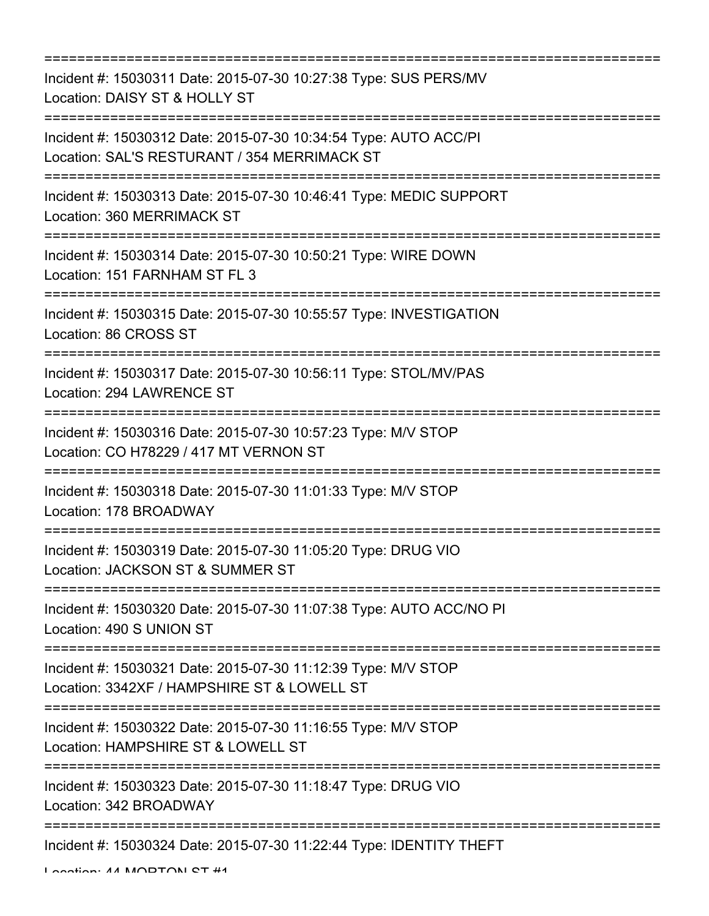| =========================                                                                                                                                  |
|------------------------------------------------------------------------------------------------------------------------------------------------------------|
| Incident #: 15030311 Date: 2015-07-30 10:27:38 Type: SUS PERS/MV<br>Location: DAISY ST & HOLLY ST                                                          |
| Incident #: 15030312 Date: 2015-07-30 10:34:54 Type: AUTO ACC/PI<br>Location: SAL'S RESTURANT / 354 MERRIMACK ST<br>;===================================== |
| Incident #: 15030313 Date: 2015-07-30 10:46:41 Type: MEDIC SUPPORT<br>Location: 360 MERRIMACK ST                                                           |
| Incident #: 15030314 Date: 2015-07-30 10:50:21 Type: WIRE DOWN<br>Location: 151 FARNHAM ST FL 3                                                            |
| Incident #: 15030315 Date: 2015-07-30 10:55:57 Type: INVESTIGATION<br>Location: 86 CROSS ST                                                                |
| Incident #: 15030317 Date: 2015-07-30 10:56:11 Type: STOL/MV/PAS<br>Location: 294 LAWRENCE ST                                                              |
| Incident #: 15030316 Date: 2015-07-30 10:57:23 Type: M/V STOP<br>Location: CO H78229 / 417 MT VERNON ST                                                    |
| Incident #: 15030318 Date: 2015-07-30 11:01:33 Type: M/V STOP<br>Location: 178 BROADWAY                                                                    |
| Incident #: 15030319 Date: 2015-07-30 11:05:20 Type: DRUG VIO<br>Location: JACKSON ST & SUMMER ST                                                          |
| Incident #: 15030320 Date: 2015-07-30 11:07:38 Type: AUTO ACC/NO PI<br>Location: 490 S UNION ST                                                            |
| Incident #: 15030321 Date: 2015-07-30 11:12:39 Type: M/V STOP<br>Location: 3342XF / HAMPSHIRE ST & LOWELL ST                                               |
| Incident #: 15030322 Date: 2015-07-30 11:16:55 Type: M/V STOP<br>Location: HAMPSHIRE ST & LOWELL ST                                                        |
| Incident #: 15030323 Date: 2015-07-30 11:18:47 Type: DRUG VIO<br>Location: 342 BROADWAY                                                                    |
| Incident #: 15030324 Date: 2015-07-30 11:22:44 Type: IDENTITY THEFT                                                                                        |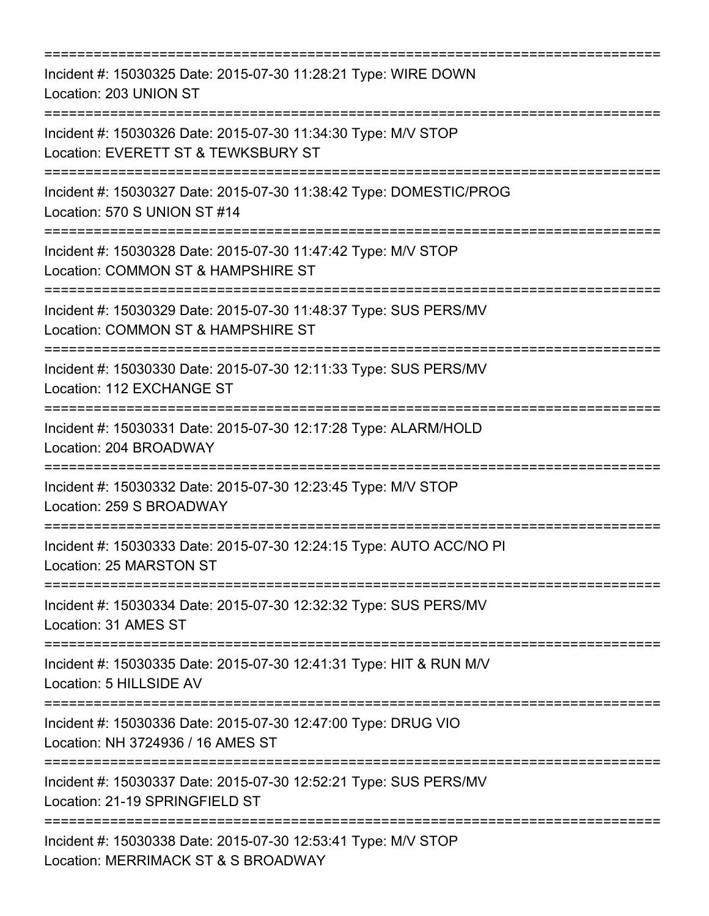| Incident #: 15030325 Date: 2015-07-30 11:28:21 Type: WIRE DOWN<br>Location: 203 UNION ST                                              |
|---------------------------------------------------------------------------------------------------------------------------------------|
| Incident #: 15030326 Date: 2015-07-30 11:34:30 Type: M/V STOP<br>Location: EVERETT ST & TEWKSBURY ST<br>:============================ |
| Incident #: 15030327 Date: 2015-07-30 11:38:42 Type: DOMESTIC/PROG<br>Location: 570 S UNION ST #14                                    |
| Incident #: 15030328 Date: 2015-07-30 11:47:42 Type: M/V STOP<br>Location: COMMON ST & HAMPSHIRE ST                                   |
| Incident #: 15030329 Date: 2015-07-30 11:48:37 Type: SUS PERS/MV<br>Location: COMMON ST & HAMPSHIRE ST<br>:========================   |
| Incident #: 15030330 Date: 2015-07-30 12:11:33 Type: SUS PERS/MV<br>Location: 112 EXCHANGE ST                                         |
| Incident #: 15030331 Date: 2015-07-30 12:17:28 Type: ALARM/HOLD<br>Location: 204 BROADWAY<br>==================                       |
| Incident #: 15030332 Date: 2015-07-30 12:23:45 Type: M/V STOP<br>Location: 259 S BROADWAY                                             |
| Incident #: 15030333 Date: 2015-07-30 12:24:15 Type: AUTO ACC/NO PI<br>Location: 25 MARSTON ST                                        |
| Incident #: 15030334 Date: 2015-07-30 12:32:32 Type: SUS PERS/MV<br>Location: 31 AMES ST                                              |
| Incident #: 15030335 Date: 2015-07-30 12:41:31 Type: HIT & RUN M/V<br>Location: 5 HILLSIDE AV                                         |
| Incident #: 15030336 Date: 2015-07-30 12:47:00 Type: DRUG VIO<br>Location: NH 3724936 / 16 AMES ST                                    |
| Incident #: 15030337 Date: 2015-07-30 12:52:21 Type: SUS PERS/MV<br>Location: 21-19 SPRINGFIELD ST                                    |
| Incident #: 15030338 Date: 2015-07-30 12:53:41 Type: M/V STOP<br>Location: MERRIMACK ST & S BROADWAY                                  |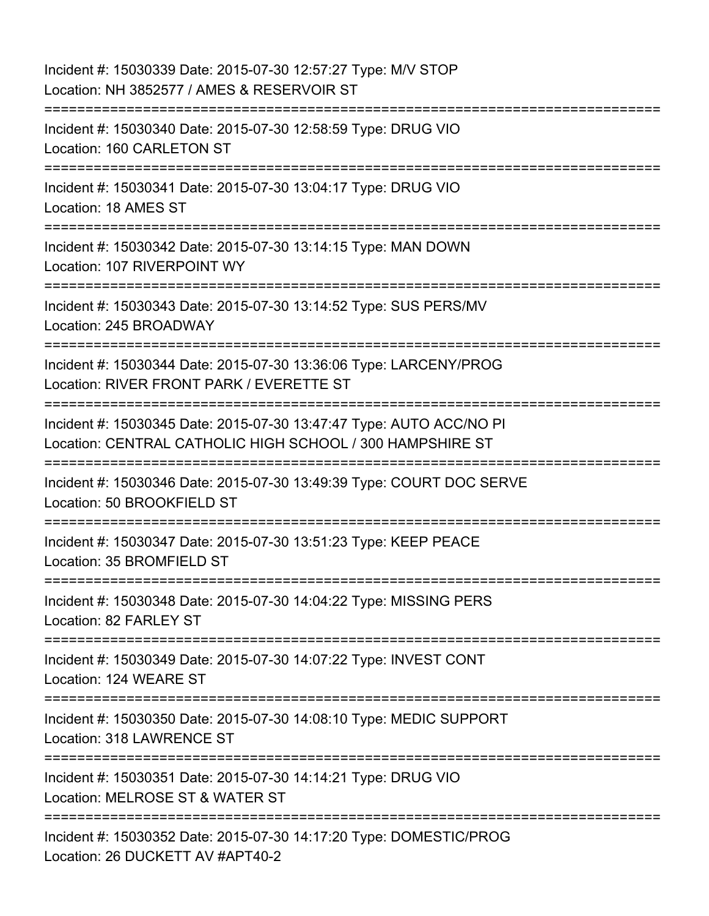Incident #: 15030339 Date: 2015-07-30 12:57:27 Type: M/V STOP Location: NH 3852577 / AMES & RESERVOIR ST =========================================================================== Incident #: 15030340 Date: 2015-07-30 12:58:59 Type: DRUG VIO Location: 160 CARLETON ST =========================================================================== Incident #: 15030341 Date: 2015-07-30 13:04:17 Type: DRUG VIO Location: 18 AMES ST =========================================================================== Incident #: 15030342 Date: 2015-07-30 13:14:15 Type: MAN DOWN Location: 107 RIVERPOINT WY =========================================================================== Incident #: 15030343 Date: 2015-07-30 13:14:52 Type: SUS PERS/MV Location: 245 BROADWAY =========================================================================== Incident #: 15030344 Date: 2015-07-30 13:36:06 Type: LARCENY/PROG Location: RIVER FRONT PARK / EVERETTE ST =========================================================================== Incident #: 15030345 Date: 2015-07-30 13:47:47 Type: AUTO ACC/NO PI Location: CENTRAL CATHOLIC HIGH SCHOOL / 300 HAMPSHIRE ST =========================================================================== Incident #: 15030346 Date: 2015-07-30 13:49:39 Type: COURT DOC SERVE Location: 50 BROOKFIELD ST =========================================================================== Incident #: 15030347 Date: 2015-07-30 13:51:23 Type: KEEP PEACE Location: 35 BROMFIELD ST =========================================================================== Incident #: 15030348 Date: 2015-07-30 14:04:22 Type: MISSING PERS Location: 82 FARLEY ST =========================================================================== Incident #: 15030349 Date: 2015-07-30 14:07:22 Type: INVEST CONT Location: 124 WEARE ST =========================================================================== Incident #: 15030350 Date: 2015-07-30 14:08:10 Type: MEDIC SUPPORT Location: 318 LAWRENCE ST =========================================================================== Incident #: 15030351 Date: 2015-07-30 14:14:21 Type: DRUG VIO Location: MELROSE ST & WATER ST =========================================================================== Incident #: 15030352 Date: 2015-07-30 14:17:20 Type: DOMESTIC/PROG Location: 26 DUCKETT AV #APT40-2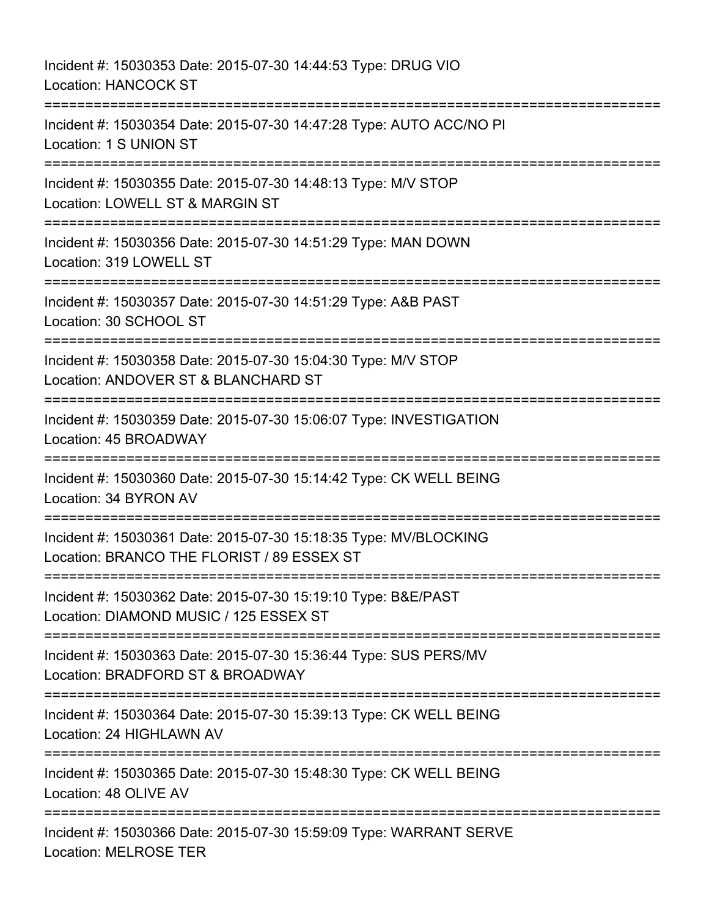Incident #: 15030353 Date: 2015-07-30 14:44:53 Type: DRUG VIO Location: HANCOCK ST =========================================================================== Incident #: 15030354 Date: 2015-07-30 14:47:28 Type: AUTO ACC/NO PI Location: 1 S UNION ST =========================================================================== Incident #: 15030355 Date: 2015-07-30 14:48:13 Type: M/V STOP Location: LOWELL ST & MARGIN ST =========================================================================== Incident #: 15030356 Date: 2015-07-30 14:51:29 Type: MAN DOWN Location: 319 LOWELL ST =========================================================================== Incident #: 15030357 Date: 2015-07-30 14:51:29 Type: A&B PAST Location: 30 SCHOOL ST =========================================================================== Incident #: 15030358 Date: 2015-07-30 15:04:30 Type: M/V STOP Location: ANDOVER ST & BLANCHARD ST =========================================================================== Incident #: 15030359 Date: 2015-07-30 15:06:07 Type: INVESTIGATION Location: 45 BROADWAY =========================================================================== Incident #: 15030360 Date: 2015-07-30 15:14:42 Type: CK WELL BEING Location: 34 BYRON AV =========================================================================== Incident #: 15030361 Date: 2015-07-30 15:18:35 Type: MV/BLOCKING Location: BRANCO THE FLORIST / 89 ESSEX ST =========================================================================== Incident #: 15030362 Date: 2015-07-30 15:19:10 Type: B&E/PAST Location: DIAMOND MUSIC / 125 ESSEX ST =========================================================================== Incident #: 15030363 Date: 2015-07-30 15:36:44 Type: SUS PERS/MV Location: BRADFORD ST & BROADWAY =========================================================================== Incident #: 15030364 Date: 2015-07-30 15:39:13 Type: CK WELL BEING Location: 24 HIGHLAWN AV =========================================================================== Incident #: 15030365 Date: 2015-07-30 15:48:30 Type: CK WELL BEING Location: 48 OLIVE AV =========================================================================== Incident #: 15030366 Date: 2015-07-30 15:59:09 Type: WARRANT SERVE Location: MELROSE TER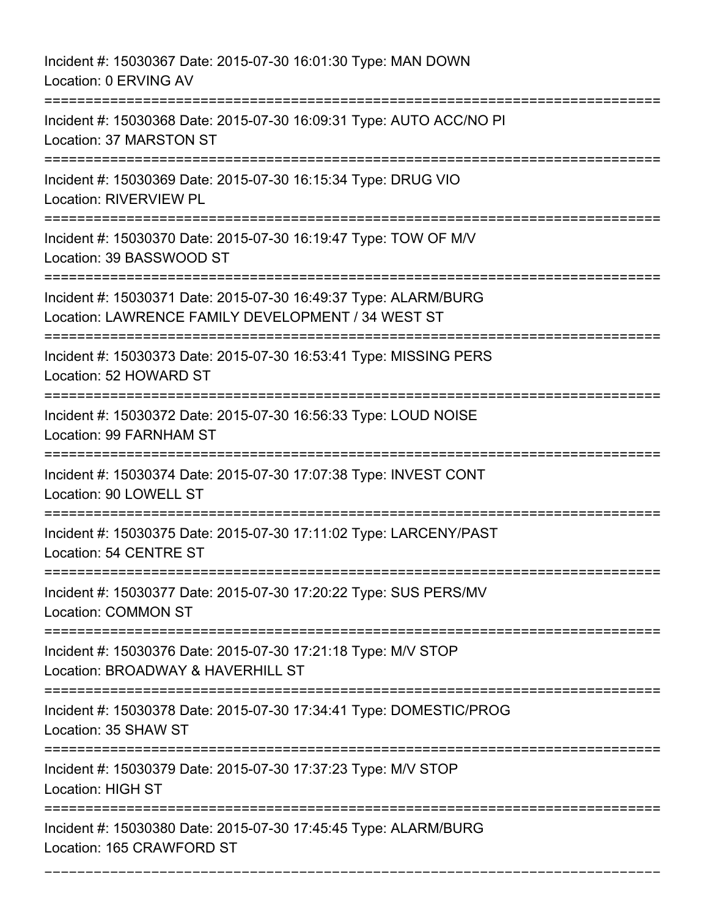Incident #: 15030367 Date: 2015-07-30 16:01:30 Type: MAN DOWN Location: 0 ERVING AV =========================================================================== Incident #: 15030368 Date: 2015-07-30 16:09:31 Type: AUTO ACC/NO PI Location: 37 MARSTON ST =========================================================================== Incident #: 15030369 Date: 2015-07-30 16:15:34 Type: DRUG VIO Location: RIVERVIEW PL =========================================================================== Incident #: 15030370 Date: 2015-07-30 16:19:47 Type: TOW OF M/V Location: 39 BASSWOOD ST =========================================================================== Incident #: 15030371 Date: 2015-07-30 16:49:37 Type: ALARM/BURG Location: LAWRENCE FAMILY DEVELOPMENT / 34 WEST ST =========================================================================== Incident #: 15030373 Date: 2015-07-30 16:53:41 Type: MISSING PERS Location: 52 HOWARD ST =========================================================================== Incident #: 15030372 Date: 2015-07-30 16:56:33 Type: LOUD NOISE Location: 99 FARNHAM ST =========================================================================== Incident #: 15030374 Date: 2015-07-30 17:07:38 Type: INVEST CONT Location: 90 LOWELL ST =========================================================================== Incident #: 15030375 Date: 2015-07-30 17:11:02 Type: LARCENY/PAST Location: 54 CENTRE ST =========================================================================== Incident #: 15030377 Date: 2015-07-30 17:20:22 Type: SUS PERS/MV Location: COMMON ST =========================================================================== Incident #: 15030376 Date: 2015-07-30 17:21:18 Type: M/V STOP Location: BROADWAY & HAVERHILL ST =========================================================================== Incident #: 15030378 Date: 2015-07-30 17:34:41 Type: DOMESTIC/PROG Location: 35 SHAW ST =========================================================================== Incident #: 15030379 Date: 2015-07-30 17:37:23 Type: M/V STOP Location: HIGH ST =========================================================================== Incident #: 15030380 Date: 2015-07-30 17:45:45 Type: ALARM/BURG Location: 165 CRAWFORD ST

===========================================================================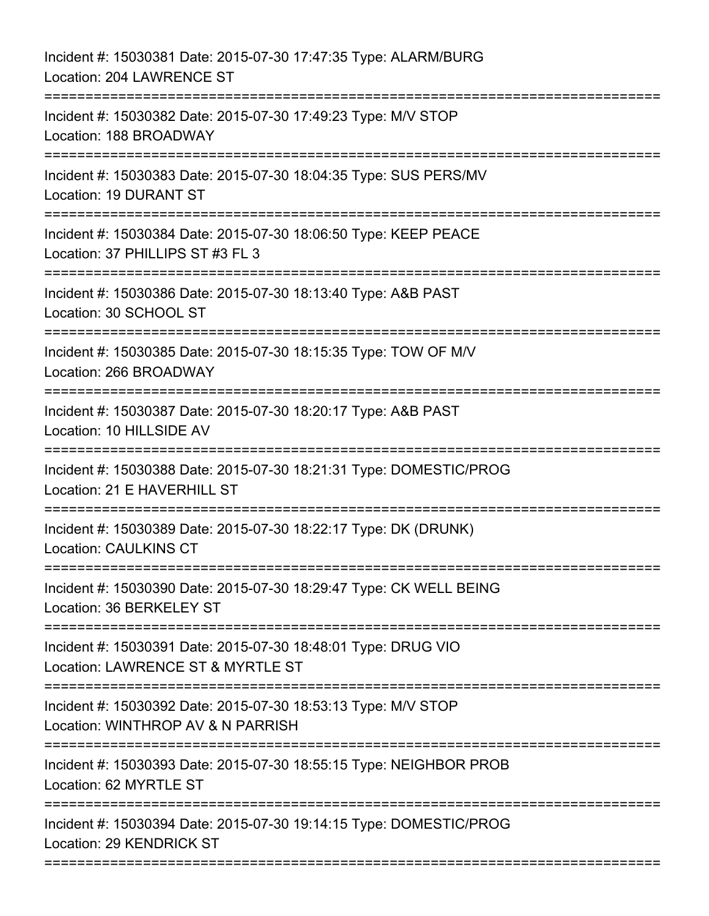| Incident #: 15030381 Date: 2015-07-30 17:47:35 Type: ALARM/BURG<br>Location: 204 LAWRENCE ST                                |
|-----------------------------------------------------------------------------------------------------------------------------|
| Incident #: 15030382 Date: 2015-07-30 17:49:23 Type: M/V STOP<br>Location: 188 BROADWAY                                     |
| Incident #: 15030383 Date: 2015-07-30 18:04:35 Type: SUS PERS/MV<br><b>Location: 19 DURANT ST</b>                           |
| Incident #: 15030384 Date: 2015-07-30 18:06:50 Type: KEEP PEACE<br>Location: 37 PHILLIPS ST #3 FL 3                         |
| Incident #: 15030386 Date: 2015-07-30 18:13:40 Type: A&B PAST<br>Location: 30 SCHOOL ST<br>====================             |
| Incident #: 15030385 Date: 2015-07-30 18:15:35 Type: TOW OF M/V<br>Location: 266 BROADWAY                                   |
| Incident #: 15030387 Date: 2015-07-30 18:20:17 Type: A&B PAST<br>Location: 10 HILLSIDE AV                                   |
| Incident #: 15030388 Date: 2015-07-30 18:21:31 Type: DOMESTIC/PROG<br>Location: 21 E HAVERHILL ST<br>====================== |
| Incident #: 15030389 Date: 2015-07-30 18:22:17 Type: DK (DRUNK)<br><b>Location: CAULKINS CT</b>                             |
| Incident #: 15030390 Date: 2015-07-30 18:29:47 Type: CK WELL BEING<br>Location: 36 BERKELEY ST                              |
| Incident #: 15030391 Date: 2015-07-30 18:48:01 Type: DRUG VIO<br>Location: LAWRENCE ST & MYRTLE ST                          |
| Incident #: 15030392 Date: 2015-07-30 18:53:13 Type: M/V STOP<br>Location: WINTHROP AV & N PARRISH                          |
| Incident #: 15030393 Date: 2015-07-30 18:55:15 Type: NEIGHBOR PROB<br>Location: 62 MYRTLE ST                                |
| Incident #: 15030394 Date: 2015-07-30 19:14:15 Type: DOMESTIC/PROG<br>Location: 29 KENDRICK ST                              |
|                                                                                                                             |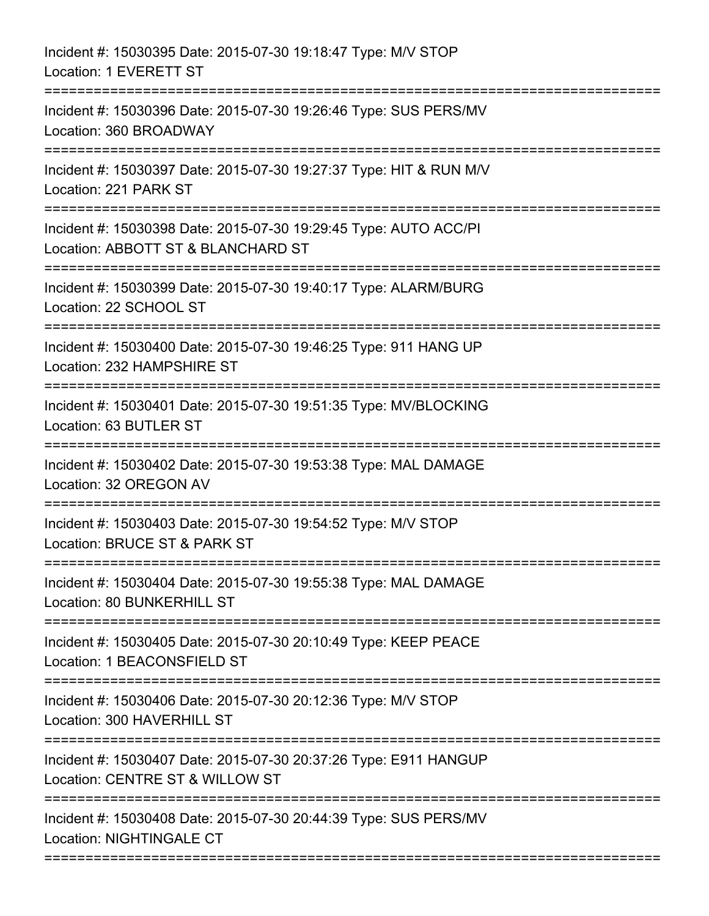| Incident #: 15030395 Date: 2015-07-30 19:18:47 Type: M/V STOP<br>Location: 1 EVERETT ST                               |
|-----------------------------------------------------------------------------------------------------------------------|
| Incident #: 15030396 Date: 2015-07-30 19:26:46 Type: SUS PERS/MV<br>Location: 360 BROADWAY                            |
| Incident #: 15030397 Date: 2015-07-30 19:27:37 Type: HIT & RUN M/V<br>Location: 221 PARK ST                           |
| Incident #: 15030398 Date: 2015-07-30 19:29:45 Type: AUTO ACC/PI<br>Location: ABBOTT ST & BLANCHARD ST                |
| Incident #: 15030399 Date: 2015-07-30 19:40:17 Type: ALARM/BURG<br>Location: 22 SCHOOL ST<br>======================== |
| Incident #: 15030400 Date: 2015-07-30 19:46:25 Type: 911 HANG UP<br>Location: 232 HAMPSHIRE ST                        |
| Incident #: 15030401 Date: 2015-07-30 19:51:35 Type: MV/BLOCKING<br>Location: 63 BUTLER ST                            |
| Incident #: 15030402 Date: 2015-07-30 19:53:38 Type: MAL DAMAGE<br>Location: 32 OREGON AV                             |
| Incident #: 15030403 Date: 2015-07-30 19:54:52 Type: M/V STOP<br>Location: BRUCE ST & PARK ST                         |
| Incident #: 15030404 Date: 2015-07-30 19:55:38 Type: MAL DAMAGE<br>Location: 80 BUNKERHILL ST                         |
| Incident #: 15030405 Date: 2015-07-30 20:10:49 Type: KEEP PEACE<br>Location: 1 BEACONSFIELD ST                        |
| Incident #: 15030406 Date: 2015-07-30 20:12:36 Type: M/V STOP<br>Location: 300 HAVERHILL ST                           |
| Incident #: 15030407 Date: 2015-07-30 20:37:26 Type: E911 HANGUP<br>Location: CENTRE ST & WILLOW ST                   |
| Incident #: 15030408 Date: 2015-07-30 20:44:39 Type: SUS PERS/MV<br><b>Location: NIGHTINGALE CT</b>                   |
|                                                                                                                       |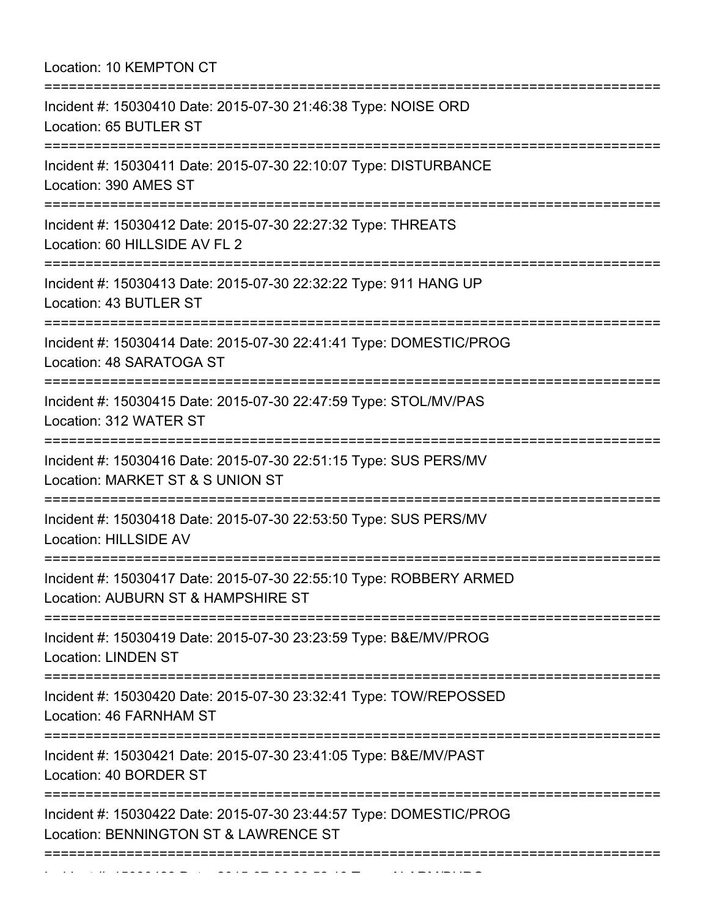Location: 10 KEMPTON CT

| Incident #: 15030410 Date: 2015-07-30 21:46:38 Type: NOISE ORD<br>Location: 65 BUTLER ST                                                                        |
|-----------------------------------------------------------------------------------------------------------------------------------------------------------------|
| Incident #: 15030411 Date: 2015-07-30 22:10:07 Type: DISTURBANCE<br>Location: 390 AMES ST<br>:=================================<br>:=========================== |
| Incident #: 15030412 Date: 2015-07-30 22:27:32 Type: THREATS<br>Location: 60 HILLSIDE AV FL 2                                                                   |
| Incident #: 15030413 Date: 2015-07-30 22:32:22 Type: 911 HANG UP<br>Location: 43 BUTLER ST                                                                      |
| Incident #: 15030414 Date: 2015-07-30 22:41:41 Type: DOMESTIC/PROG<br>Location: 48 SARATOGA ST                                                                  |
| Incident #: 15030415 Date: 2015-07-30 22:47:59 Type: STOL/MV/PAS<br>Location: 312 WATER ST                                                                      |
| Incident #: 15030416 Date: 2015-07-30 22:51:15 Type: SUS PERS/MV<br>Location: MARKET ST & S UNION ST                                                            |
| Incident #: 15030418 Date: 2015-07-30 22:53:50 Type: SUS PERS/MV<br>Location: HILLSIDE AV                                                                       |
| Incident #: 15030417 Date: 2015-07-30 22:55:10 Type: ROBBERY ARMED<br>Location: AUBURN ST & HAMPSHIRE ST                                                        |
| Incident #: 15030419 Date: 2015-07-30 23:23:59 Type: B&E/MV/PROG<br><b>Location: LINDEN ST</b>                                                                  |
| Incident #: 15030420 Date: 2015-07-30 23:32:41 Type: TOW/REPOSSED<br>Location: 46 FARNHAM ST                                                                    |
| Incident #: 15030421 Date: 2015-07-30 23:41:05 Type: B&E/MV/PAST<br>Location: 40 BORDER ST                                                                      |
| Incident #: 15030422 Date: 2015-07-30 23:44:57 Type: DOMESTIC/PROG<br>Location: BENNINGTON ST & LAWRENCE ST                                                     |
|                                                                                                                                                                 |